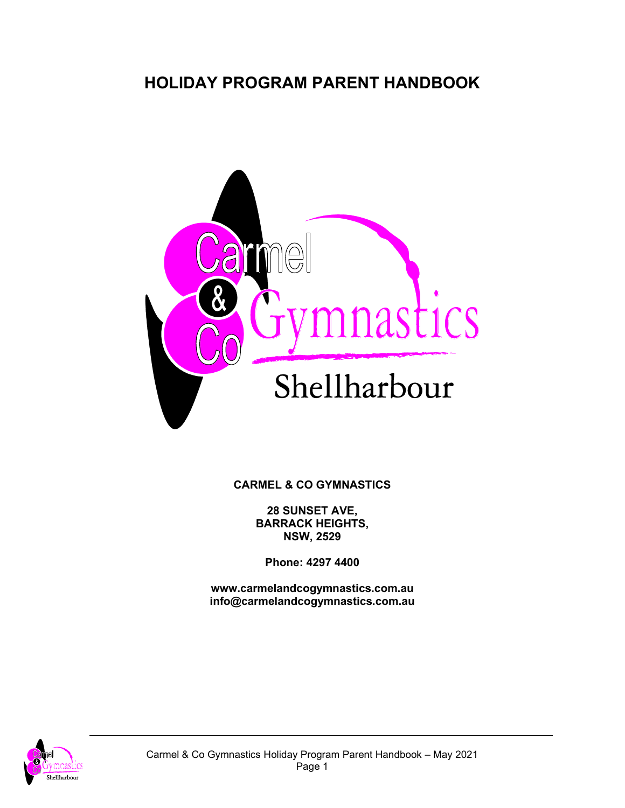# **HOLIDAY PROGRAM PARENT HANDBOOK**



**CARMEL & CO GYMNASTICS**

**28 SUNSET AVE, BARRACK HEIGHTS, NSW, 2529**

**Phone: 4297 4400**

**www.carmelandcogymnastics.com.au info@carmelandcogymnastics.com.au**

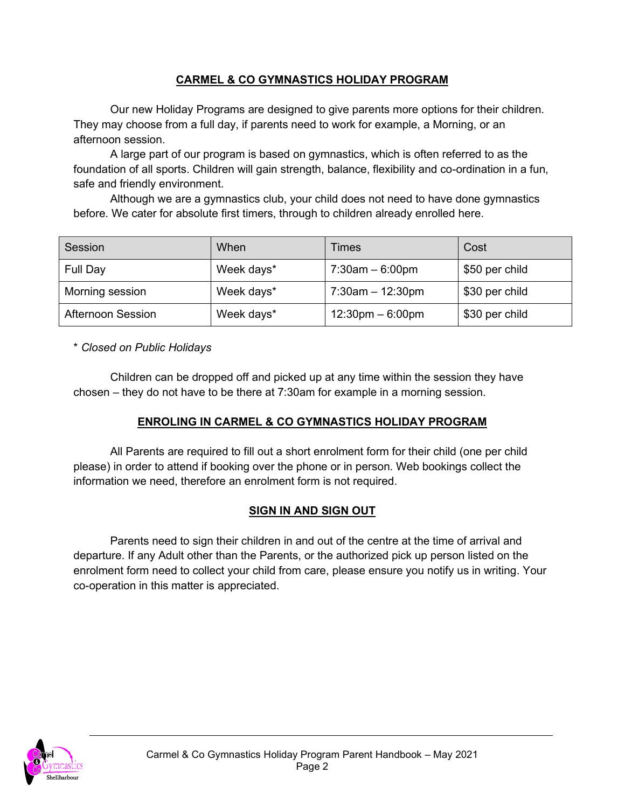### **CARMEL & CO GYMNASTICS HOLIDAY PROGRAM**

Our new Holiday Programs are designed to give parents more options for their children. They may choose from a full day, if parents need to work for example, a Morning, or an afternoon session.

A large part of our program is based on gymnastics, which is often referred to as the foundation of all sports. Children will gain strength, balance, flexibility and co-ordination in a fun, safe and friendly environment.

Although we are a gymnastics club, your child does not need to have done gymnastics before. We cater for absolute first timers, through to children already enrolled here.

| Session                  | When       | Times                              | Cost           |
|--------------------------|------------|------------------------------------|----------------|
| Full Day                 | Week days* | $7:30$ am $-6:00$ pm               | \$50 per child |
| Morning session          | Week days* | $7:30$ am $-12:30$ pm              | \$30 per child |
| <b>Afternoon Session</b> | Week days* | $12:30 \text{pm} - 6:00 \text{pm}$ | \$30 per child |

\* *Closed on Public Holidays*

Children can be dropped off and picked up at any time within the session they have chosen – they do not have to be there at 7:30am for example in a morning session.

# **ENROLING IN CARMEL & CO GYMNASTICS HOLIDAY PROGRAM**

All Parents are required to fill out a short enrolment form for their child (one per child please) in order to attend if booking over the phone or in person. Web bookings collect the information we need, therefore an enrolment form is not required.

#### **SIGN IN AND SIGN OUT**

Parents need to sign their children in and out of the centre at the time of arrival and departure. If any Adult other than the Parents, or the authorized pick up person listed on the enrolment form need to collect your child from care, please ensure you notify us in writing. Your co-operation in this matter is appreciated.

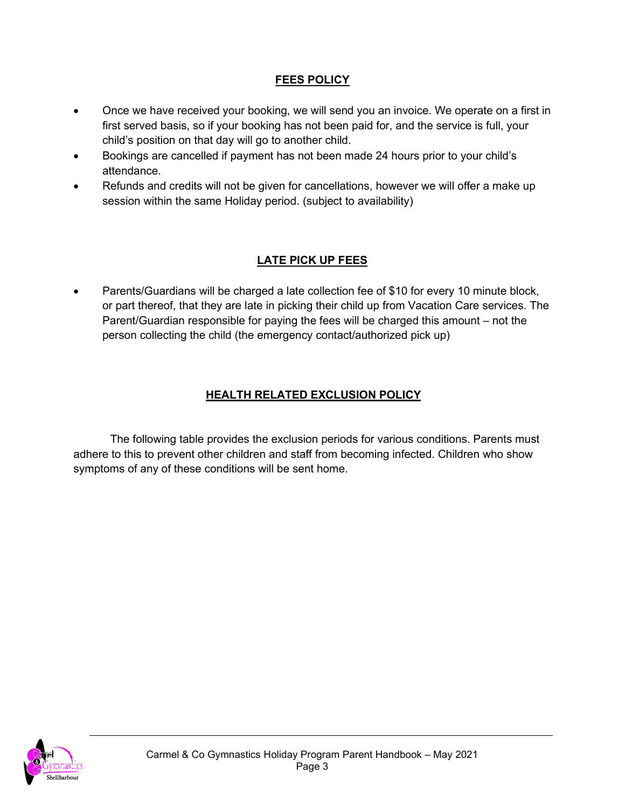## **FEES POLICY**

- Once we have received your booking, we will send you an invoice. We operate on a first in first served basis, so if your booking has not been paid for, and the service is full, your child's position on that day will go to another child.
- Bookings are cancelled if payment has not been made 24 hours prior to your child's attendance.
- Refunds and credits will not be given for cancellations, however we will offer a make up session within the same Holiday period. (subject to availability)

# **LATE PICK UP FEES**

• Parents/Guardians will be charged a late collection fee of \$10 for every 10 minute block, or part thereof, that they are late in picking their child up from Vacation Care services. The Parent/Guardian responsible for paying the fees will be charged this amount – not the person collecting the child (the emergency contact/authorized pick up)

# **HEALTH RELATED EXCLUSION POLICY**

The following table provides the exclusion periods for various conditions. Parents must adhere to this to prevent other children and staff from becoming infected. Children who show symptoms of any of these conditions will be sent home.

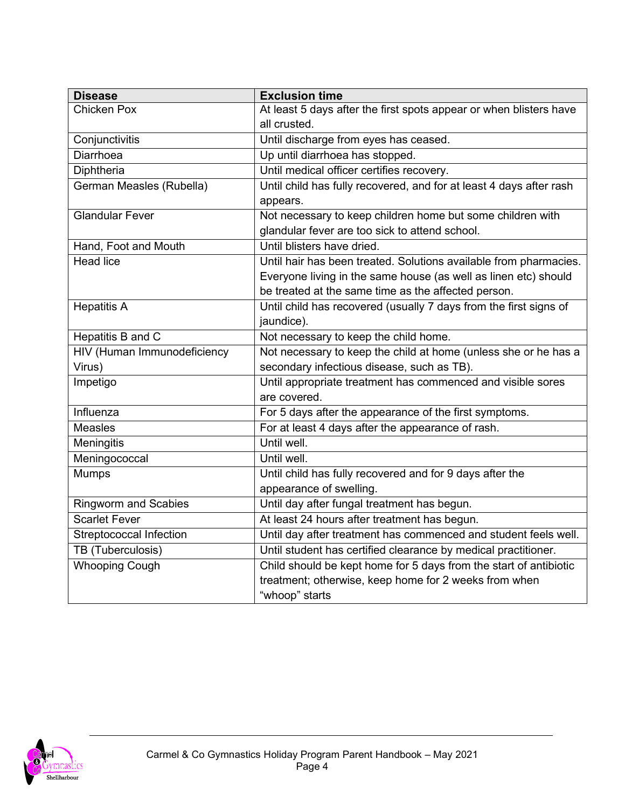| <b>Disease</b>                     | <b>Exclusion time</b>                                               |  |
|------------------------------------|---------------------------------------------------------------------|--|
| <b>Chicken Pox</b>                 | At least 5 days after the first spots appear or when blisters have  |  |
|                                    | all crusted.                                                        |  |
| Conjunctivitis                     | Until discharge from eyes has ceased.                               |  |
| Diarrhoea                          | Up until diarrhoea has stopped.                                     |  |
| Diphtheria                         | Until medical officer certifies recovery.                           |  |
| German Measles (Rubella)           | Until child has fully recovered, and for at least 4 days after rash |  |
|                                    | appears.                                                            |  |
| <b>Glandular Fever</b>             | Not necessary to keep children home but some children with          |  |
|                                    | glandular fever are too sick to attend school.                      |  |
| Hand, Foot and Mouth               | Until blisters have dried.                                          |  |
| <b>Head lice</b>                   | Until hair has been treated. Solutions available from pharmacies.   |  |
|                                    | Everyone living in the same house (as well as linen etc) should     |  |
|                                    | be treated at the same time as the affected person.                 |  |
| <b>Hepatitis A</b>                 | Until child has recovered (usually 7 days from the first signs of   |  |
|                                    | jaundice).                                                          |  |
| <b>Hepatitis B and C</b>           | Not necessary to keep the child home.                               |  |
| <b>HIV (Human Immunodeficiency</b> | Not necessary to keep the child at home (unless she or he has a     |  |
| Virus)                             | secondary infectious disease, such as TB).                          |  |
| Impetigo                           | Until appropriate treatment has commenced and visible sores         |  |
|                                    | are covered.                                                        |  |
| Influenza                          | For 5 days after the appearance of the first symptoms.              |  |
| <b>Measles</b>                     | For at least 4 days after the appearance of rash.                   |  |
| Meningitis                         | Until well.                                                         |  |
| Meningococcal                      | Until well.                                                         |  |
| <b>Mumps</b>                       | Until child has fully recovered and for 9 days after the            |  |
|                                    | appearance of swelling.                                             |  |
| <b>Ringworm and Scabies</b>        | Until day after fungal treatment has begun.                         |  |
| <b>Scarlet Fever</b>               | At least 24 hours after treatment has begun.                        |  |
| <b>Streptococcal Infection</b>     | Until day after treatment has commenced and student feels well.     |  |
| TB (Tuberculosis)                  | Until student has certified clearance by medical practitioner.      |  |
| <b>Whooping Cough</b>              | Child should be kept home for $5$ days from the start of antibiotic |  |
|                                    | treatment; otherwise, keep home for 2 weeks from when               |  |
|                                    | "whoop" starts                                                      |  |

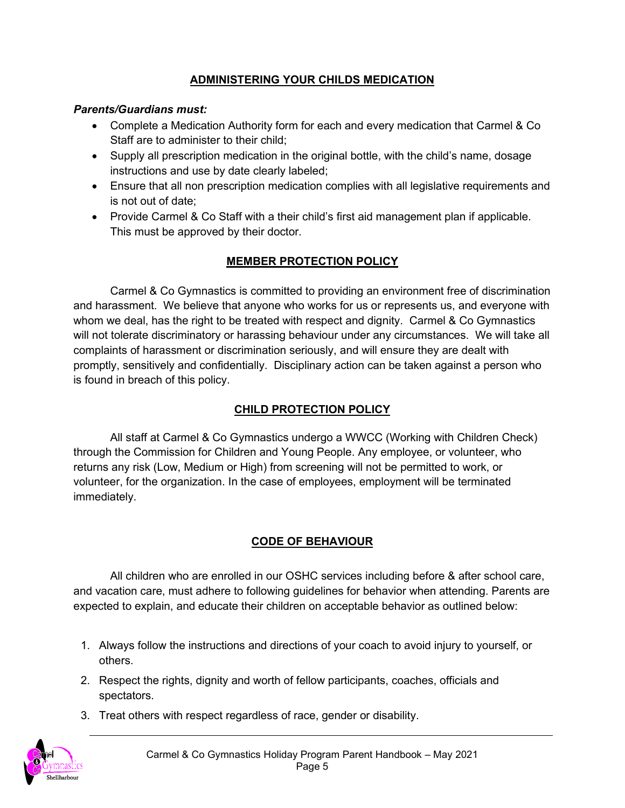## **ADMINISTERING YOUR CHILDS MEDICATION**

#### *Parents/Guardians must:*

- Complete a Medication Authority form for each and every medication that Carmel & Co Staff are to administer to their child;
- Supply all prescription medication in the original bottle, with the child's name, dosage instructions and use by date clearly labeled;
- Ensure that all non prescription medication complies with all legislative requirements and is not out of date;
- Provide Carmel & Co Staff with a their child's first aid management plan if applicable. This must be approved by their doctor.

# **MEMBER PROTECTION POLICY**

Carmel & Co Gymnastics is committed to providing an environment free of discrimination and harassment. We believe that anyone who works for us or represents us, and everyone with whom we deal, has the right to be treated with respect and dignity. Carmel & Co Gymnastics will not tolerate discriminatory or harassing behaviour under any circumstances. We will take all complaints of harassment or discrimination seriously, and will ensure they are dealt with promptly, sensitively and confidentially. Disciplinary action can be taken against a person who is found in breach of this policy.

# **CHILD PROTECTION POLICY**

All staff at Carmel & Co Gymnastics undergo a WWCC (Working with Children Check) through the Commission for Children and Young People. Any employee, or volunteer, who returns any risk (Low, Medium or High) from screening will not be permitted to work, or volunteer, for the organization. In the case of employees, employment will be terminated immediately.

# **CODE OF BEHAVIOUR**

All children who are enrolled in our OSHC services including before & after school care, and vacation care, must adhere to following guidelines for behavior when attending. Parents are expected to explain, and educate their children on acceptable behavior as outlined below:

- 1. Always follow the instructions and directions of your coach to avoid injury to yourself, or others.
- 2. Respect the rights, dignity and worth of fellow participants, coaches, officials and spectators.
- 3. Treat others with respect regardless of race, gender or disability.

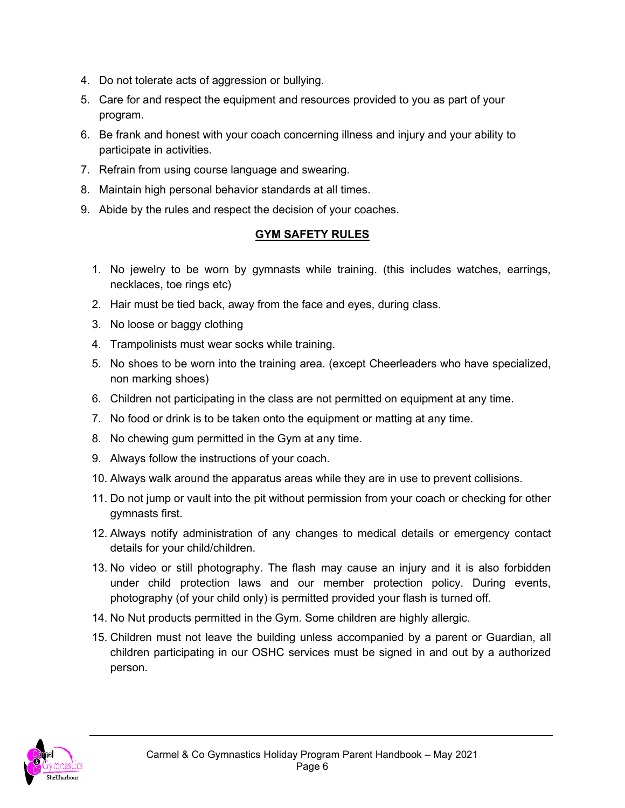- 4. Do not tolerate acts of aggression or bullying.
- 5. Care for and respect the equipment and resources provided to you as part of your program.
- 6. Be frank and honest with your coach concerning illness and injury and your ability to participate in activities.
- 7. Refrain from using course language and swearing.
- 8. Maintain high personal behavior standards at all times.
- 9. Abide by the rules and respect the decision of your coaches.

#### **GYM SAFETY RULES**

- 1. No jewelry to be worn by gymnasts while training. (this includes watches, earrings, necklaces, toe rings etc)
- 2. Hair must be tied back, away from the face and eyes, during class.
- 3. No loose or baggy clothing
- 4. Trampolinists must wear socks while training.
- 5. No shoes to be worn into the training area. (except Cheerleaders who have specialized, non marking shoes)
- 6. Children not participating in the class are not permitted on equipment at any time.
- 7. No food or drink is to be taken onto the equipment or matting at any time.
- 8. No chewing gum permitted in the Gym at any time.
- 9. Always follow the instructions of your coach.
- 10. Always walk around the apparatus areas while they are in use to prevent collisions.
- 11. Do not jump or vault into the pit without permission from your coach or checking for other gymnasts first.
- 12. Always notify administration of any changes to medical details or emergency contact details for your child/children.
- 13. No video or still photography. The flash may cause an injury and it is also forbidden under child protection laws and our member protection policy. During events, photography (of your child only) is permitted provided your flash is turned off.
- 14. No Nut products permitted in the Gym. Some children are highly allergic.
- 15. Children must not leave the building unless accompanied by a parent or Guardian, all children participating in our OSHC services must be signed in and out by a authorized person.

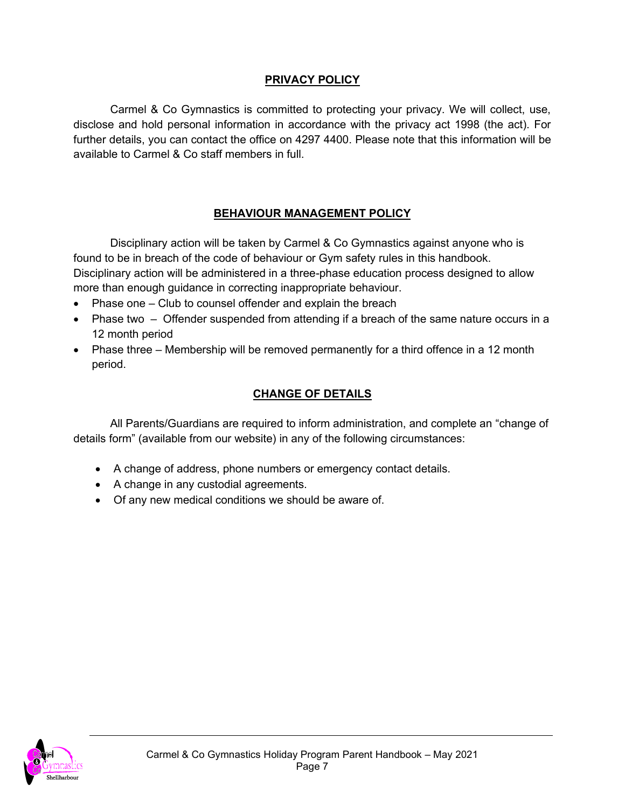### **PRIVACY POLICY**

Carmel & Co Gymnastics is committed to protecting your privacy. We will collect, use, disclose and hold personal information in accordance with the privacy act 1998 (the act). For further details, you can contact the office on 4297 4400. Please note that this information will be available to Carmel & Co staff members in full.

### **BEHAVIOUR MANAGEMENT POLICY**

Disciplinary action will be taken by Carmel & Co Gymnastics against anyone who is found to be in breach of the code of behaviour or Gym safety rules in this handbook. Disciplinary action will be administered in a three-phase education process designed to allow more than enough guidance in correcting inappropriate behaviour.

- Phase one Club to counsel offender and explain the breach
- Phase two Offender suspended from attending if a breach of the same nature occurs in a 12 month period
- Phase three Membership will be removed permanently for a third offence in a 12 month period.

#### **CHANGE OF DETAILS**

All Parents/Guardians are required to inform administration, and complete an "change of details form" (available from our website) in any of the following circumstances:

- A change of address, phone numbers or emergency contact details.
- A change in any custodial agreements.
- Of any new medical conditions we should be aware of.

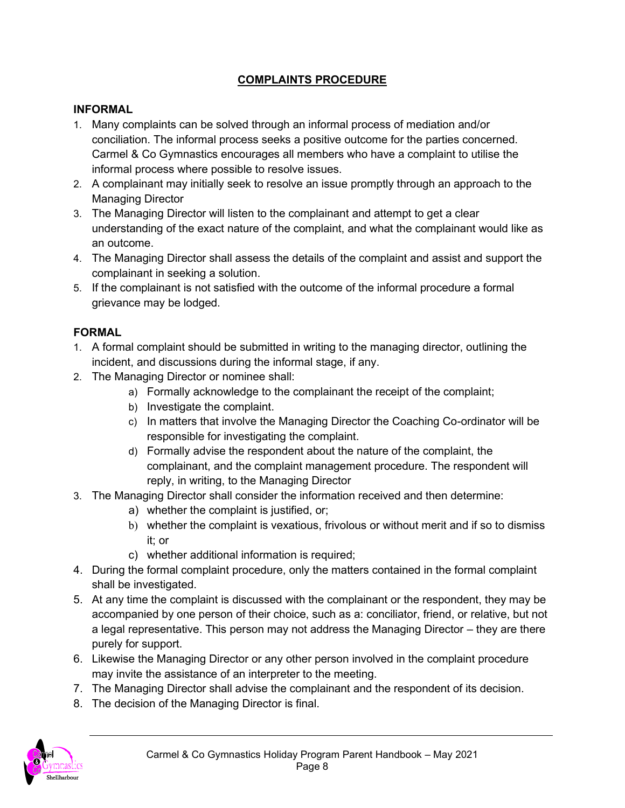## **COMPLAINTS PROCEDURE**

#### **INFORMAL**

- 1. Many complaints can be solved through an informal process of mediation and/or conciliation. The informal process seeks a positive outcome for the parties concerned. Carmel & Co Gymnastics encourages all members who have a complaint to utilise the informal process where possible to resolve issues.
- 2. A complainant may initially seek to resolve an issue promptly through an approach to the Managing Director
- 3. The Managing Director will listen to the complainant and attempt to get a clear understanding of the exact nature of the complaint, and what the complainant would like as an outcome.
- 4. The Managing Director shall assess the details of the complaint and assist and support the complainant in seeking a solution.
- 5. If the complainant is not satisfied with the outcome of the informal procedure a formal grievance may be lodged.

#### **FORMAL**

- 1. A formal complaint should be submitted in writing to the managing director, outlining the incident, and discussions during the informal stage, if any.
- 2. The Managing Director or nominee shall:
	- a) Formally acknowledge to the complainant the receipt of the complaint;
	- b) Investigate the complaint.
	- c) In matters that involve the Managing Director the Coaching Co-ordinator will be responsible for investigating the complaint.
	- d) Formally advise the respondent about the nature of the complaint, the complainant, and the complaint management procedure. The respondent will reply, in writing, to the Managing Director
- 3. The Managing Director shall consider the information received and then determine:
	- a) whether the complaint is justified, or;
	- b) whether the complaint is vexatious, frivolous or without merit and if so to dismiss it; or
	- c) whether additional information is required;
- 4. During the formal complaint procedure, only the matters contained in the formal complaint shall be investigated.
- 5. At any time the complaint is discussed with the complainant or the respondent, they may be accompanied by one person of their choice, such as a: conciliator, friend, or relative, but not a legal representative. This person may not address the Managing Director – they are there purely for support.
- 6. Likewise the Managing Director or any other person involved in the complaint procedure may invite the assistance of an interpreter to the meeting.
- 7. The Managing Director shall advise the complainant and the respondent of its decision.
- 8. The decision of the Managing Director is final.